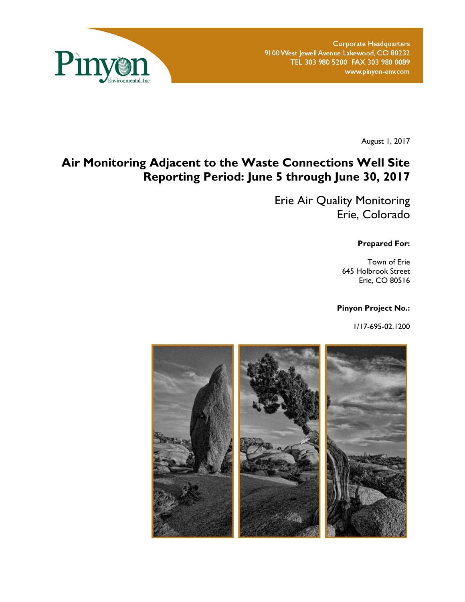

**Corporate Headquarters** 9100 West Jewell Avenue Lakewood, CO 80232 TEL 303 980 5200 FAX 303 980 0089 www.pinyon-env.com

August 1, 2017

# **Air Monitoring Adjacent to the Waste Connections Well Site Reporting Period: June 5 through June 30, 2017**

Erie Air Quality Monitoring Erie, Colorado

**Prepared For:** 

Town of Erie 645 Holbrook Street Erie, CO 80516

### **Pinyon Project No.:**

1/17-695-02.1200

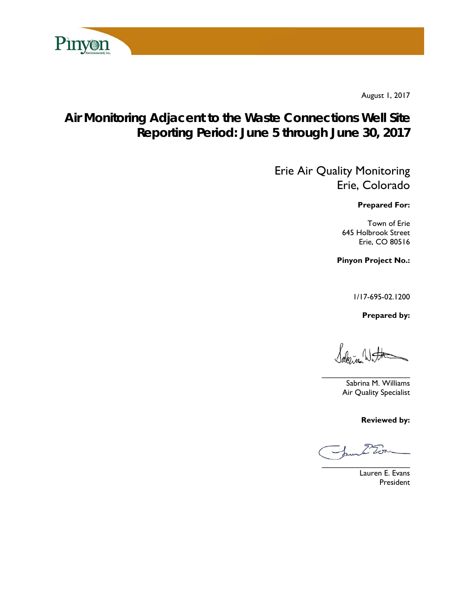

August 1, 2017

# **Air Monitoring Adjacent to the Waste Connections Well Site Reporting Period: June 5 through June 30, 2017**

Erie Air Quality Monitoring Erie, Colorado

**Prepared For:** 

Town of Erie 645 Holbrook Street Erie, CO 80516

**Pinyon Project No.:** 

1/17-695-02.1200

 **Prepared by:** 

 $\sqrt{ab_2}$   $\sqrt{ab}$ 

 $\overline{\phantom{a}}$ 

Sabrina M. Williams Air Quality Specialist

**Reviewed by:** 

 $\overline{\phantom{a}}$ 

Lauren E. Evans President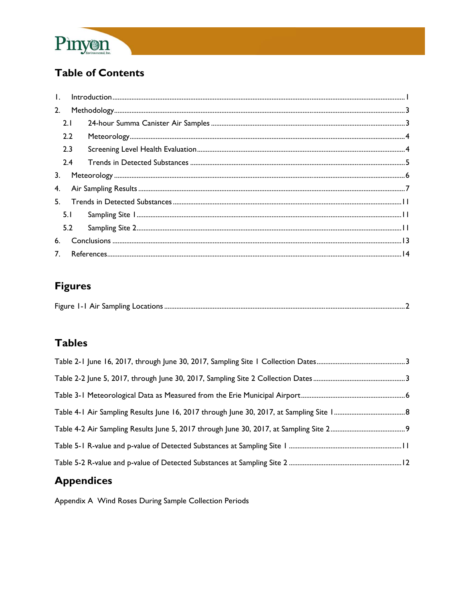

# **Table of Contents**

| 2.             |     |  |
|----------------|-----|--|
|                | 2.1 |  |
|                | 2.2 |  |
|                | 2.3 |  |
|                | 2.4 |  |
| 3 <sub>1</sub> |     |  |
| 4.             |     |  |
| 5 <sub>1</sub> |     |  |
|                | 5.1 |  |
|                | 5.2 |  |
| 6.             |     |  |
| 7 <sup>1</sup> |     |  |
|                |     |  |

# **Figures**

# **Tables**

# **Appendices**

Appendix A Wind Roses During Sample Collection Periods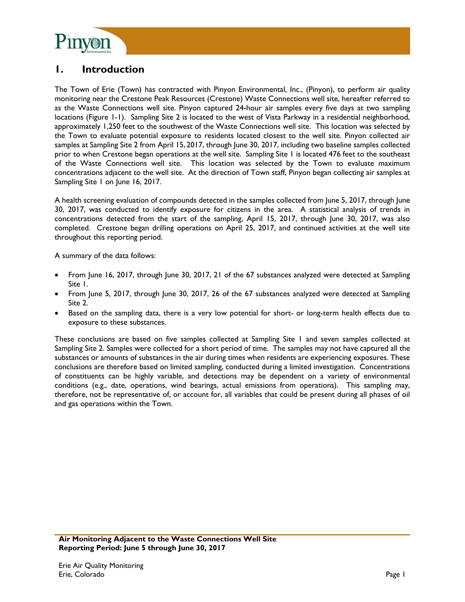

### **1. Introduction**

The Town of Erie (Town) has contracted with Pinyon Environmental, Inc., (Pinyon), to perform air quality monitoring near the Crestone Peak Resources (Crestone) Waste Connections well site, hereafter referred to as the Waste Connections well site. Pinyon captured 24-hour air samples every five days at two sampling locations (Figure 1-1). Sampling Site 2 is located to the west of Vista Parkway in a residential neighborhood, approximately 1,250 feet to the southwest of the Waste Connections well site. This location was selected by the Town to evaluate potential exposure to residents located closest to the well site. Pinyon collected air samples at Sampling Site 2 from April 15, 2017, through June 30, 2017, including two baseline samples collected prior to when Crestone began operations at the well site. Sampling Site 1 is located 476 feet to the southeast of the Waste Connections well site. This location was selected by the Town to evaluate maximum concentrations adjacent to the well site. At the direction of Town staff, Pinyon began collecting air samples at Sampling Site 1 on June 16, 2017.

A health screening evaluation of compounds detected in the samples collected from June 5, 2017, through June 30, 2017, was conducted to identify exposure for citizens in the area. A statistical analysis of trends in concentrations detected from the start of the sampling, April 15, 2017, through June 30, 2017, was also completed. Crestone began drilling operations on April 25, 2017, and continued activities at the well site throughout this reporting period.

A summary of the data follows:

- From June 16, 2017, through June 30, 2017, 21 of the 67 substances analyzed were detected at Sampling Site 1.
- From June 5, 2017, through June 30, 2017, 26 of the 67 substances analyzed were detected at Sampling Site 2.
- Based on the sampling data, there is a very low potential for short- or long-term health effects due to exposure to these substances.

These conclusions are based on five samples collected at Sampling Site 1 and seven samples collected at Sampling Site 2. Samples were collected for a short period of time. The samples may not have captured all the substances or amounts of substances in the air during times when residents are experiencing exposures. These conclusions are therefore based on limited sampling, conducted during a limited investigation. Concentrations of constituents can be highly variable, and detections may be dependent on a variety of environmental conditions (e.g., date, operations, wind bearings, actual emissions from operations). This sampling may, therefore, not be representative of, or account for, all variables that could be present during all phases of oil and gas operations within the Town.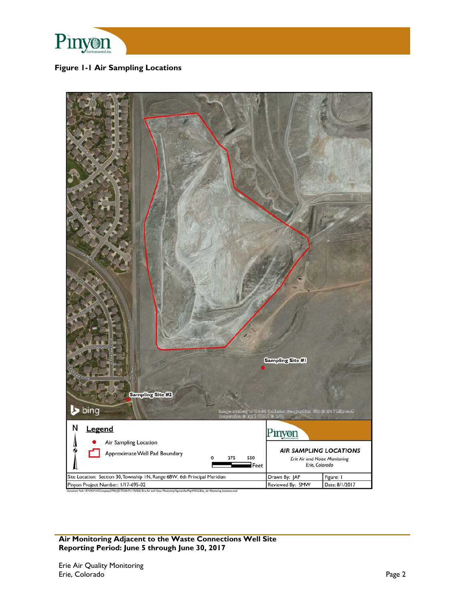

### **Figure 1-1 Air Sampling Locations**

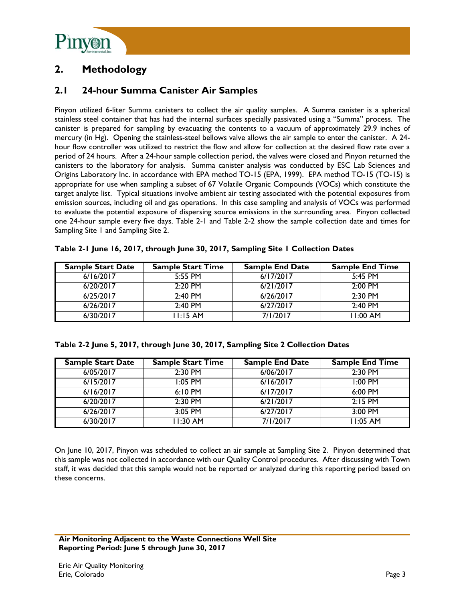

# **2. Methodology**

### **2.1 24-hour Summa Canister Air Samples**

Pinyon utilized 6-liter Summa canisters to collect the air quality samples. A Summa canister is a spherical stainless steel container that has had the internal surfaces specially passivated using a "Summa" process. The canister is prepared for sampling by evacuating the contents to a vacuum of approximately 29.9 inches of mercury (in Hg). Opening the stainless-steel bellows valve allows the air sample to enter the canister. A 24 hour flow controller was utilized to restrict the flow and allow for collection at the desired flow rate over a period of 24 hours. After a 24-hour sample collection period, the valves were closed and Pinyon returned the canisters to the laboratory for analysis. Summa canister analysis was conducted by ESC Lab Sciences and Origins Laboratory Inc. in accordance with EPA method TO-15 (EPA, 1999). EPA method TO-15 (TO-15) is appropriate for use when sampling a subset of 67 Volatile Organic Compounds (VOCs) which constitute the target analyte list. Typical situations involve ambient air testing associated with the potential exposures from emission sources, including oil and gas operations. In this case sampling and analysis of VOCs was performed to evaluate the potential exposure of dispersing source emissions in the surrounding area. Pinyon collected one 24-hour sample every five days. Table 2-1 and Table 2-2 show the sample collection date and times for Sampling Site 1 and Sampling Site 2.

| <b>Sample Start Date</b> | <b>Sample Start Time</b> | <b>Sample End Date</b> | <b>Sample End Time</b> |
|--------------------------|--------------------------|------------------------|------------------------|
| 6/16/2017                | $5:55$ PM                | 6/17/2017              | $5:45$ PM              |
| 6/20/2017                | $2:20$ PM                | 6/21/2017              | $2:00$ PM              |
| 6/25/2017                | $2:40$ PM                | 6/26/2017              | $2:30$ PM              |
| 6/26/2017                | $2:40$ PM                | 6/27/2017              | $2:40$ PM              |
| 6/30/2017                | $11:15 \text{ AM}$       | 7/1/2017               | $1:00$ AM              |

|  | Table 2-1 June 16, 2017, through June 30, 2017, Sampling Site 1 Collection Dates |  |  |
|--|----------------------------------------------------------------------------------|--|--|
|--|----------------------------------------------------------------------------------|--|--|

|  |  |  |  | Table 2-2 June 5, 2017, through June 30, 2017, Sampling Site 2 Collection Dates |  |
|--|--|--|--|---------------------------------------------------------------------------------|--|
|  |  |  |  |                                                                                 |  |

| <b>Sample Start Date</b> | <b>Sample Start Time</b> | <b>Sample End Date</b> | <b>Sample End Time</b> |
|--------------------------|--------------------------|------------------------|------------------------|
| 6/05/2017                | $2:30$ PM                | 6/06/2017              | $2:30$ PM              |
| 6/15/2017                | $1:05$ PM                | 6/16/2017              | $1:00$ PM              |
| 6/16/2017                | $6:10 \text{ PM}$        | 6/17/2017              | $6:00$ PM              |
| 6/20/2017                | 2:30 PM                  | 6/21/2017              | $2:15$ PM              |
| 6/26/2017                | 3:05 PM                  | 6/27/2017              | $3:00$ PM              |
| 6/30/2017                | $1:30$ AM                | 7/1/2017               | $1:05$ AM              |

On June 10, 2017, Pinyon was scheduled to collect an air sample at Sampling Site 2. Pinyon determined that this sample was not collected in accordance with our Quality Control procedures. After discussing with Town staff, it was decided that this sample would not be reported or analyzed during this reporting period based on these concerns.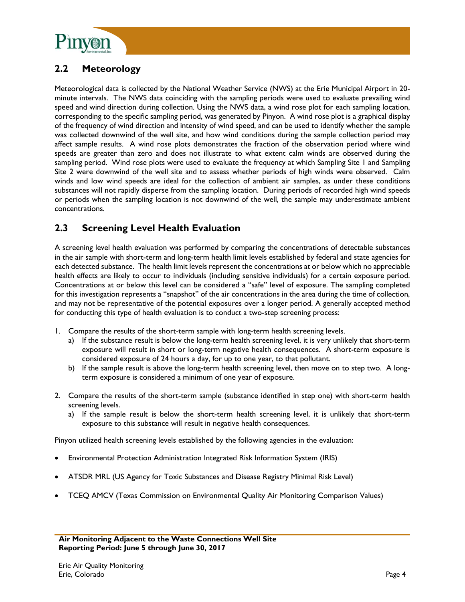

## **2.2 Meteorology**

Meteorological data is collected by the National Weather Service (NWS) at the Erie Municipal Airport in 20 minute intervals. The NWS data coinciding with the sampling periods were used to evaluate prevailing wind speed and wind direction during collection. Using the NWS data, a wind rose plot for each sampling location, corresponding to the specific sampling period, was generated by Pinyon. A wind rose plot is a graphical display of the frequency of wind direction and intensity of wind speed, and can be used to identify whether the sample was collected downwind of the well site, and how wind conditions during the sample collection period may affect sample results. A wind rose plots demonstrates the fraction of the observation period where wind speeds are greater than zero and does not illustrate to what extent calm winds are observed during the sampling period. Wind rose plots were used to evaluate the frequency at which Sampling Site 1 and Sampling Site 2 were downwind of the well site and to assess whether periods of high winds were observed. Calm winds and low wind speeds are ideal for the collection of ambient air samples, as under these conditions substances will not rapidly disperse from the sampling location. During periods of recorded high wind speeds or periods when the sampling location is not downwind of the well, the sample may underestimate ambient concentrations.

### **2.3 Screening Level Health Evaluation**

A screening level health evaluation was performed by comparing the concentrations of detectable substances in the air sample with short-term and long-term health limit levels established by federal and state agencies for each detected substance. The health limit levels represent the concentrations at or below which no appreciable health effects are likely to occur to individuals (including sensitive individuals) for a certain exposure period. Concentrations at or below this level can be considered a "safe" level of exposure. The sampling completed for this investigation represents a "snapshot" of the air concentrations in the area during the time of collection, and may not be representative of the potential exposures over a longer period. A generally accepted method for conducting this type of health evaluation is to conduct a two-step screening process:

- 1. Compare the results of the short-term sample with long-term health screening levels.
	- a) If the substance result is below the long-term health screening level, it is very unlikely that short-term exposure will result in short or long-term negative health consequences. A short-term exposure is considered exposure of 24 hours a day, for up to one year, to that pollutant.
	- b) If the sample result is above the long-term health screening level, then move on to step two. A longterm exposure is considered a minimum of one year of exposure.
- 2. Compare the results of the short-term sample (substance identified in step one) with short-term health screening levels.
	- a) If the sample result is below the short-term health screening level, it is unlikely that short-term exposure to this substance will result in negative health consequences.

Pinyon utilized health screening levels established by the following agencies in the evaluation:

- Environmental Protection Administration Integrated Risk Information System (IRIS)
- ATSDR MRL (US Agency for Toxic Substances and Disease Registry Minimal Risk Level)
- TCEQ AMCV (Texas Commission on Environmental Quality Air Monitoring Comparison Values)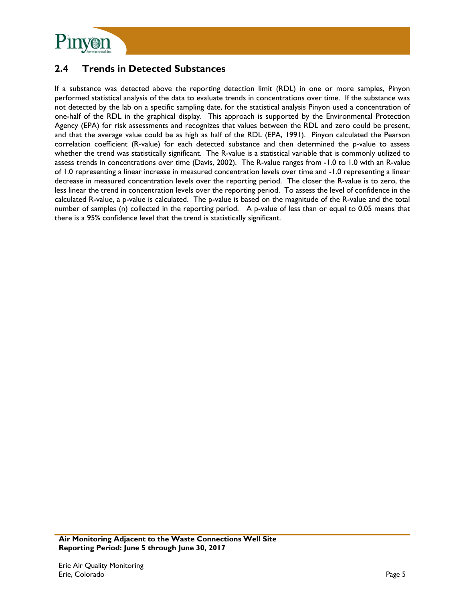

### **2.4 Trends in Detected Substances**

If a substance was detected above the reporting detection limit (RDL) in one or more samples, Pinyon performed statistical analysis of the data to evaluate trends in concentrations over time. If the substance was not detected by the lab on a specific sampling date, for the statistical analysis Pinyon used a concentration of one-half of the RDL in the graphical display. This approach is supported by the Environmental Protection Agency (EPA) for risk assessments and recognizes that values between the RDL and zero could be present, and that the average value could be as high as half of the RDL (EPA, 1991). Pinyon calculated the Pearson correlation coefficient (R-value) for each detected substance and then determined the p-value to assess whether the trend was statistically significant. The R-value is a statistical variable that is commonly utilized to assess trends in concentrations over time (Davis, 2002). The R-value ranges from -1.0 to 1.0 with an R-value of 1.0 representing a linear increase in measured concentration levels over time and -1.0 representing a linear decrease in measured concentration levels over the reporting period. The closer the R-value is to zero, the less linear the trend in concentration levels over the reporting period. To assess the level of confidence in the calculated R-value, a p-value is calculated. The p-value is based on the magnitude of the R-value and the total number of samples (n) collected in the reporting period. A p-value of less than or equal to 0.05 means that there is a 95% confidence level that the trend is statistically significant.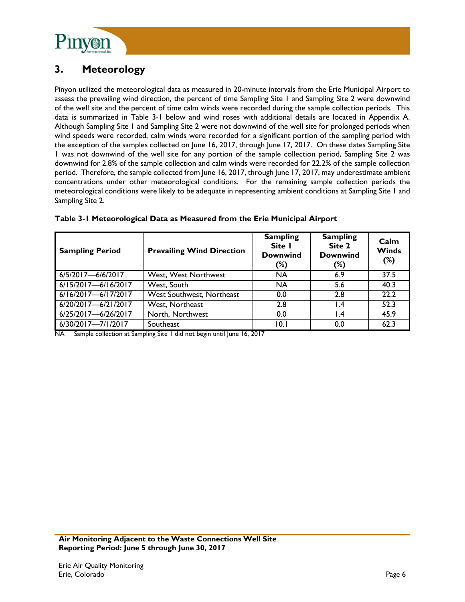

# **3. Meteorology**

Pinyon utilized the meteorological data as measured in 20-minute intervals from the Erie Municipal Airport to assess the prevailing wind direction, the percent of time Sampling Site 1 and Sampling Site 2 were downwind of the well site and the percent of time calm winds were recorded during the sample collection periods. This data is summarized in Table 3-1 below and wind roses with additional details are located in Appendix A. Although Sampling Site 1 and Sampling Site 2 were not downwind of the well site for prolonged periods when wind speeds were recorded, calm winds were recorded for a significant portion of the sampling period with the exception of the samples collected on June 16, 2017, through June 17, 2017. On these dates Sampling Site 1 was not downwind of the well site for any portion of the sample collection period, Sampling Site 2 was downwind for 2.8% of the sample collection and calm winds were recorded for 22.2% of the sample collection period. Therefore, the sample collected from June 16, 2017, through June 17, 2017, may underestimate ambient concentrations under other meteorological conditions. For the remaining sample collection periods the meteorological conditions were likely to be adequate in representing ambient conditions at Sampling Site 1 and Sampling Site 2.

| <b>Sampling Period</b>  | <b>Prevailing Wind Direction</b> | <b>Sampling</b><br>Site I<br><b>Downwind</b><br>(%) | <b>Sampling</b><br>Site 2<br><b>Downwind</b><br>$(\%)$ | Calm<br><b>Winds</b><br>(%) |
|-------------------------|----------------------------------|-----------------------------------------------------|--------------------------------------------------------|-----------------------------|
| 6/5/2017-6/6/2017       | West, West Northwest             | NA                                                  | 6.9                                                    | 37.5                        |
| $6/15/2017 - 6/16/2017$ | West, South                      | NA                                                  | 5.6                                                    | 40.3                        |
| $6/16/2017 - 6/17/2017$ | West Southwest, Northeast        | 0.0                                                 | 2.8                                                    | 22.2                        |
| 6/20/2017-6/21/2017     | West, Northeast                  | 2.8                                                 | $\mathsf{I}$ .4                                        | 52.3                        |
| 6/25/2017-6/26/2017     | North, Northwest                 | 0.0                                                 | $\mathsf{I}$ .4                                        | 45.9                        |
| 6/30/2017-7/1/2017      | Southeast                        | 10.1                                                | 0.0                                                    | 62.3                        |

|  | Table 3-1 Meteorological Data as Measured from the Erie Municipal Airport |  |
|--|---------------------------------------------------------------------------|--|
|  |                                                                           |  |

NA Sample collection at Sampling Site 1 did not begin until June 16, 2017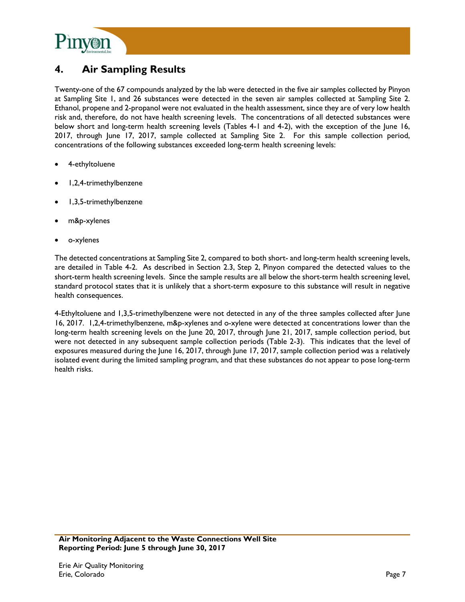

## **4. Air Sampling Results**

Twenty-one of the 67 compounds analyzed by the lab were detected in the five air samples collected by Pinyon at Sampling Site 1, and 26 substances were detected in the seven air samples collected at Sampling Site 2. Ethanol, propene and 2-propanol were not evaluated in the health assessment, since they are of very low health risk and, therefore, do not have health screening levels. The concentrations of all detected substances were below short and long-term health screening levels (Tables 4-1 and 4-2), with the exception of the June 16, 2017, through June 17, 2017, sample collected at Sampling Site 2. For this sample collection period, concentrations of the following substances exceeded long-term health screening levels:

- 4-ethyltoluene
- 1,2,4-trimethylbenzene
- 1,3,5-trimethylbenzene
- m&p-xylenes
- o-xylenes

The detected concentrations at Sampling Site 2, compared to both short- and long-term health screening levels, are detailed in Table 4-2. As described in Section 2.3, Step 2, Pinyon compared the detected values to the short-term health screening levels. Since the sample results are all below the short-term health screening level, standard protocol states that it is unlikely that a short-term exposure to this substance will result in negative health consequences.

4-Ethyltoluene and 1,3,5-trimethylbenzene were not detected in any of the three samples collected after June 16, 2017. 1,2,4-trimethylbenzene, m&p-xylenes and o-xylene were detected at concentrations lower than the long-term health screening levels on the June 20, 2017, through June 21, 2017, sample collection period, but were not detected in any subsequent sample collection periods (Table 2-3). This indicates that the level of exposures measured during the June 16, 2017, through June 17, 2017, sample collection period was a relatively isolated event during the limited sampling program, and that these substances do not appear to pose long-term health risks.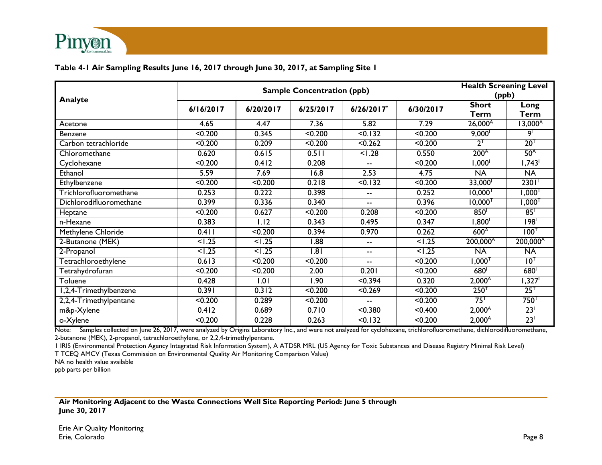

#### **Table 4-1 Air Sampling Results June 16, 2017 through June 30, 2017, at Sampling Site 1**

| <b>Analyte</b>          | <b>Sample Concentration (ppb)</b> |                   |                  |                          |           |                       | <b>Health Screening Level</b><br>(ppb) |  |
|-------------------------|-----------------------------------|-------------------|------------------|--------------------------|-----------|-----------------------|----------------------------------------|--|
|                         | 6/16/2017                         | 6/20/2017         | 6/25/2017        | 6/26/2017*               | 6/30/2017 | <b>Short</b><br>Term  | Long<br>Term                           |  |
| Acetone                 | 4.65                              | 4.47              | 7.36             | 5.82                     | 7.29      | 26,000 <sup>A</sup>   | $13,000^{\circ}$                       |  |
| Benzene                 | < 0.200                           | 0.345             | < 0.200          | < 0.132                  | < 0.200   | 9,000 <sup>1</sup>    | 9                                      |  |
| Carbon tetrachloride    | < 0.200                           | 0.209             | < 0.200          | < 0.262                  | < 0.200   | $2^{\top}$            | 20 <sup>T</sup>                        |  |
| Chloromethane           | 0.620                             | 0.615             | 0.511            | < 1.28                   | 0.550     | 200 <sup>A</sup>      | 50 <sup>A</sup>                        |  |
| Cyclohexane             | < 0.200                           | 0.412             | 0.208            | $-$                      | < 0.200   | $1,000$ <sup>1</sup>  | $1,743$ <sup>1</sup>                   |  |
| Ethanol                 | 5.59                              | 7.69              | 16.8             | 2.53                     | 4.75      | <b>NA</b>             | <b>NA</b>                              |  |
| Ethylbenzene            | < 0.200                           | < 0.200           | 0.218            | < 0.132                  | < 0.200   | 33,000                | 2301'                                  |  |
| Trichlorofluoromethane  | 0.253                             | 0.222             | 0.398            | $\overline{\phantom{a}}$ | 0.252     | $10,000^{T}$          | $1,000^{T}$                            |  |
| Dichlorodifluoromethane | 0.399                             | 0.336             | 0.340            | $-$                      | 0.396     | $10,000$ <sup>T</sup> | $1,000^{T}$                            |  |
| Heptane                 | < 0.200                           | 0.627             | < 0.200          | 0.208                    | < 0.200   | 850 <sup>1</sup>      | 85                                     |  |
| n-Hexane                | 0.383                             | $\overline{1.12}$ | 0.343            | 0.495                    | 0.347     | 1,800 <sup>1</sup>    | $\overline{198}$                       |  |
| Methylene Chloride      | 0.411                             | < 0.200           | 0.394            | 0.970                    | 0.262     | 600 <sup>A</sup>      | $100^{1}$                              |  |
| 2-Butanone (MEK)        | < 1.25                            | < 1.25            | 1.88             | --                       | < 1.25    | 200,000A              | 200,000 <sup>A</sup>                   |  |
| 2-Propanol              | < 1.25                            | 1.25              | $\overline{181}$ | $\overline{\phantom{a}}$ | 1.25      | <b>NA</b>             | <b>NA</b>                              |  |
| Tetrachloroethylene     | 0.613                             | < 0.200           | < 0.200          | $\overline{\phantom{a}}$ | < 0.200   | $1,000^\intercal$     | $10^{T}$                               |  |
| Tetrahydrofuran         | < 0.200                           | < 0.200           | 2.00             | 0.201                    | < 0.200   | 680 <sup>1</sup>      | 680 <sup>1</sup>                       |  |
| Toluene                 | 0.428                             | 1.01              | 1.90             | < 0.394                  | 0.320     | $2,000^{\text{A}}$    | $1,327$ <sup>1</sup>                   |  |
| I,2,4-Trimethylbenzene  | 0.391                             | 0.312             | < 0.200          | < 0.269                  | < 0.200   | $250^{T}$             | 25 <sup>T</sup>                        |  |
| 2,2,4-Trimethylpentane  | < 0.200                           | 0.289             | < 0.200          | --                       | < 0.200   | $75^{\text{T}}$       | $750^{\circ}$                          |  |
| m&p-Xylene              | 0.412                             | 0.689             | 0.710            | < 0.380                  | < 0.400   | $2,000^{\text{A}}$    | 23 <sup>1</sup>                        |  |
| o-Xylene                | < 0.200                           | 0.228             | 0.263            | < 0.132                  | < 0.200   | $2,000^{\text{A}}$    | 23 <sup>1</sup>                        |  |

Note: Samples collected on June 26, 2017, were analyzed by Origins Laboratory Inc., and were not analyzed for cyclohexane, trichlorofluoromethane, dichlorodifluoromethane, 2-butanone (MEK), 2-propanol, tetrachloroethylene, or 2,2,4-trimethylpentane.

1 IRIS (Environmental Protection Agency Integrated Risk Information System), A ATDSR MRL (US Agency for Toxic Substances and Disease Registry Minimal Risk Level)

T TCEQ AMCV (Texas Commission on Environmental Quality Air Monitoring Comparison Value)

NA no health value available

ppb parts per billion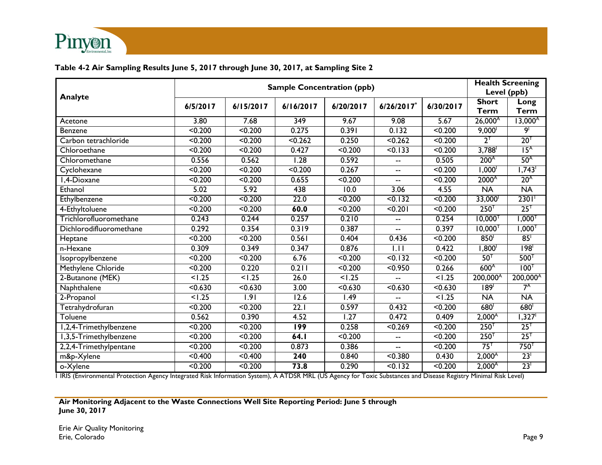

### **Table 4-2 Air Sampling Results June 5, 2017 through June 30, 2017, at Sampling Site 2**

| Analyte                 | <b>Sample Concentration (ppb)</b> |                    |                     |           |                          |                     |                       | <b>Health Screening</b><br>Level (ppb) |  |
|-------------------------|-----------------------------------|--------------------|---------------------|-----------|--------------------------|---------------------|-----------------------|----------------------------------------|--|
|                         | 6/5/2017                          | 6/15/2017          | 6/16/2017           | 6/20/2017 | 6/26/2017*               | 6/30/2017           | <b>Short</b><br>Term  | Long<br><b>Term</b>                    |  |
| Acetone                 | 3.80                              | 7.68               | $\overline{349}$    | 9.67      | 9.08                     | 5.67                | $26,000^{\circ}$      | $13,000^{\circ}$                       |  |
| Benzene                 | $\sqrt{0.200}$                    | < 0.200            | 0.275               | 0.391     | 0.132                    | < 0.200             | 9,000 <sup>1</sup>    | 9 <sup>1</sup>                         |  |
| Carbon tetrachloride    | < 0.200                           | $0.200$            | $\overline{50.262}$ | 0.250     | $\overline{50.262}$      | < 0.200             | $2^{\top}$            | 20 <sup>T</sup>                        |  |
| Chloroethane            | < 0.200                           | < 0.200            | 0.427               | < 0.200   | $\sqrt{0.133}$           | < 0.200             | 3,788                 | 15 <sup>A</sup>                        |  |
| Chloromethane           | 0.556                             | 0.562              | 1.28                | 0.592     | $\overline{\phantom{a}}$ | 0.505               | 200 <sup>A</sup>      | 50 <sup>A</sup>                        |  |
| Cyclohexane             | < 0.200                           | < 0.200            | < 0.200             | 0.267     | $\overline{\phantom{a}}$ | < 0.200             | 1,000 <sup>1</sup>    | 1,743                                  |  |
| I,4-Dioxane             | < 0.200                           | < 0.200            | 0.655               | < 0.200   | $-$                      | < 0.200             | 2000 <sup>A</sup>     | 20 <sup>A</sup>                        |  |
| Ethanol                 | 5.02                              | 5.92               | 438                 | 10.0      | 3.06                     | 4.55                | $\overline{NA}$       | <b>NA</b>                              |  |
| Ethylbenzene            | < 0.200                           | < 0.200            | 22.0                | < 0.200   | < 0.132                  | < 0.200             | 33,000                | $2301$ <sup>1</sup>                    |  |
| 4-Ethyltoluene          | < 0.200                           | $\overline{0.200}$ | 60.0                | $0.200$   | $0.201$                  | < 0.200             | $250^{T}$             | 25 <sup>T</sup>                        |  |
| Trichlorofluoromethane  | 0.243                             | 0.244              | 0.257               | 0.210     | --                       | 0.254               | $10,000$ <sup>T</sup> | $1,000^\intercal$                      |  |
| Dichlorodifluoromethane | 0.292                             | 0.354              | 0.319               | 0.387     | $\overline{\phantom{a}}$ | 0.397               | $10,000^{T}$          | $1{,}000^\intercal$                    |  |
| Heptane                 | < 0.200                           | < 0.200            | 0.561               | 0.404     | 0.436                    | < 0.200             | 850                   | 85                                     |  |
| n-Hexane                | 0.309                             | 0.349              | 0.347               | 0.876     | $\overline{1.11}$        | 0.422               | $1,800^\dagger$       | 198 <sup>1</sup>                       |  |
| Isopropylbenzene        | < 0.200                           | < 0.200            | 6.76                | < 0.200   | 50.132                   | < 0.200             | 50 <sup>T</sup>       | 500 <sup>T</sup>                       |  |
| Methylene Chloride      | < 0.200                           | 0.220              | 0.211               | $0.200$   | < 0.950                  | 0.266               | 600 <sup>A</sup>      | 100 <sup>T</sup>                       |  |
| 2-Butanone (MEK)        | 1.25                              | < 1.25             | 26.0                | < 1.25    |                          | < 1.25              | 200,000 <sup>A</sup>  | 200,000 <sup>A</sup>                   |  |
| Naphthalene             | $\overline{0.630}$                | < 0.630            | 3.00                | < 0.630   | 50.630                   | $\overline{50.630}$ | 189 <sup>1</sup>      | $7^A$                                  |  |
| 2-Propanol              | 1.25                              | 1.91               | 12.6                | 1.49      |                          | 1.25                | $\overline{NA}$       | <b>NA</b>                              |  |
| Tetrahydrofuran         | < 0.200                           | < 0.200            | $\overline{22.1}$   | 0.597     | 0.432                    | < 0.200             | 680 <sup>1</sup>      | 680                                    |  |
| Toluene                 | 0.562                             | 0.390              | 4.52                | 1.27      | 0.472                    | 0.409               | $2,000^{\circ}$       | 1,327                                  |  |
| I,2,4-Trimethylbenzene  | < 0.200                           | $0.200$            | 199                 | 0.258     | < 0.269                  | < 0.200             | 250 <sup>T</sup>      | 25 <sup>T</sup>                        |  |
| 1,3,5-Trimethylbenzene  | < 0.200                           | < 0.200            | 64.1                | < 0.200   | $\overline{\phantom{a}}$ | < 0.200             | 250 <sup>T</sup>      | 25 <sup>T</sup>                        |  |
| 2,2,4-Trimethylpentane  | < 0.200                           | < 0.200            | 0.873               | 0.386     | $\overline{\phantom{a}}$ | < 0.200             | 75 <sup>T</sup>       | $750^{\text{T}}$                       |  |
| m&p-Xylene              | < 0.400                           | < 0.400            | 240                 | 0.840     | < 0.380                  | 0.430               | $2,000^{\text{A}}$    | 23 <sup>1</sup>                        |  |
| o-Xylene                | < 0.200                           | < 0.200            | 73.8                | 0.290     | < 0.132                  | < 0.200             | 2,000 <sup>A</sup>    | 23 <sup>1</sup>                        |  |

1 IRIS (Environmental Protection Agency Integrated Risk Information System), A ATDSR MRL (US Agency for Toxic Substances and Disease Registry Minimal Risk Level)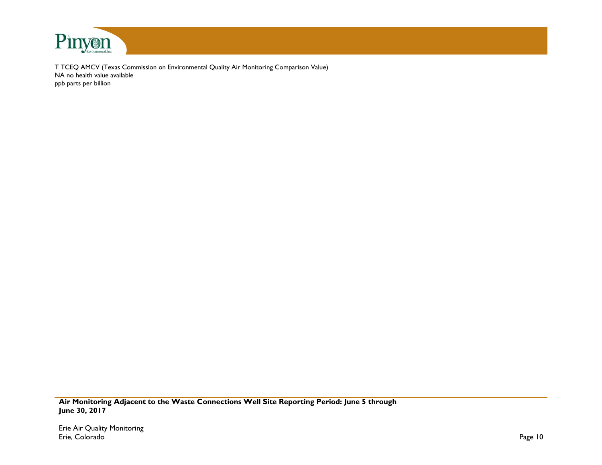

T TCEQ AMCV (Texas Commission on Environmental Quality Air Monitoring Comparison Value) NA no health value available ppb parts per billion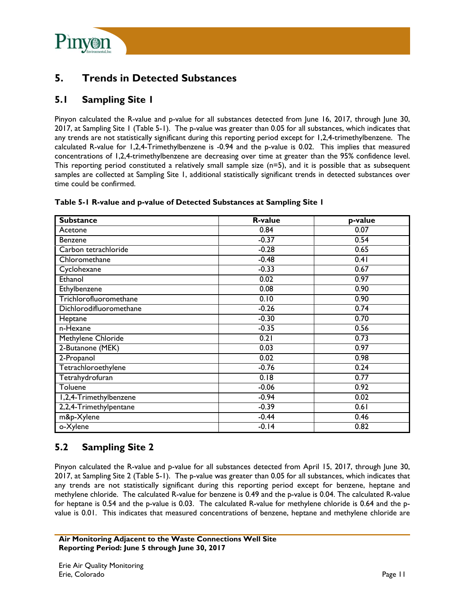

## **5. Trends in Detected Substances**

### **5.1 Sampling Site 1**

Pinyon calculated the R-value and p-value for all substances detected from June 16, 2017, through June 30, 2017, at Sampling Site 1 (Table 5-1). The p-value was greater than 0.05 for all substances, which indicates that any trends are not statistically significant during this reporting period except for 1,2,4-trimethylbenzene. The calculated R-value for 1,2,4-Trimethylbenzene is -0.94 and the p-value is 0.02. This implies that measured concentrations of 1,2,4-trimethylbenzene are decreasing over time at greater than the 95% confidence level. This reporting period constituted a relatively small sample size (n=5), and it is possible that as subsequent samples are collected at Sampling Site 1, additional statistically significant trends in detected substances over time could be confirmed.

| <b>Substance</b>        | <b>R-value</b> | p-value |
|-------------------------|----------------|---------|
| Acetone                 | 0.84           | 0.07    |
| <b>Benzene</b>          | $-0.37$        | 0.54    |
| Carbon tetrachloride    | $-0.28$        | 0.65    |
| Chloromethane           | $-0.48$        | 0.41    |
| Cyclohexane             | $-0.33$        | 0.67    |
| Ethanol                 | 0.02           | 0.97    |
| Ethylbenzene            | 0.08           | 0.90    |
| Trichlorofluoromethane  | 0.10           | 0.90    |
| Dichlorodifluoromethane | $-0.26$        | 0.74    |
| Heptane                 | $-0.30$        | 0.70    |
| n-Hexane                | $-0.35$        | 0.56    |
| Methylene Chloride      | 0.21           | 0.73    |
| 2-Butanone (MEK)        | 0.03           | 0.97    |
| 2-Propanol              | 0.02           | 0.98    |
| Tetrachloroethylene     | $-0.76$        | 0.24    |
| Tetrahydrofuran         | 0.18           | 0.77    |
| Toluene                 | $-0.06$        | 0.92    |
| I,2,4-Trimethylbenzene  | $-0.94$        | 0.02    |
| 2,2,4-Trimethylpentane  | $-0.39$        | 0.61    |
| m&p-Xylene              | $-0.44$        | 0.46    |
| o-Xylene                | $-0.14$        | 0.82    |

#### **Table 5-1 R-value and p-value of Detected Substances at Sampling Site 1**

### **5.2 Sampling Site 2**

Pinyon calculated the R-value and p-value for all substances detected from April 15, 2017, through June 30, 2017, at Sampling Site 2 (Table 5-1). The p-value was greater than 0.05 for all substances, which indicates that any trends are not statistically significant during this reporting period except for benzene, heptane and methylene chloride. The calculated R-value for benzene is 0.49 and the p-value is 0.04. The calculated R-value for heptane is 0.54 and the p-value is 0.03. The calculated R-value for methylene chloride is 0.64 and the pvalue is 0.01. This indicates that measured concentrations of benzene, heptane and methylene chloride are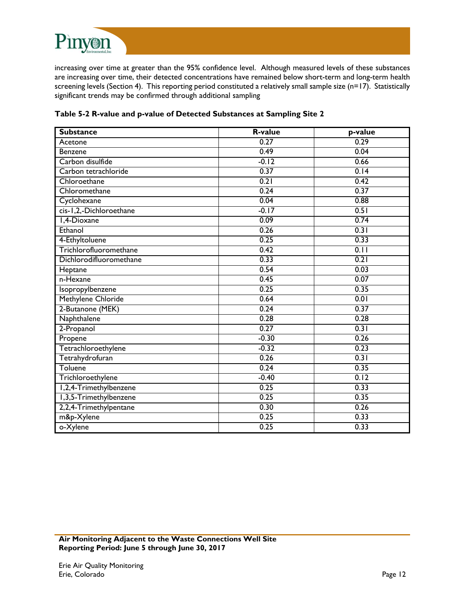

increasing over time at greater than the 95% confidence level. Although measured levels of these substances are increasing over time, their detected concentrations have remained below short-term and long-term health screening levels (Section 4). This reporting period constituted a relatively small sample size (n=17). Statistically significant trends may be confirmed through additional sampling

| Table 5-2 R-value and p-value of Detected Substances at Sampling Site 2 |  |  |  |
|-------------------------------------------------------------------------|--|--|--|
|-------------------------------------------------------------------------|--|--|--|

| <b>Substance</b>        | <b>R-value</b> | p-value           |
|-------------------------|----------------|-------------------|
| Acetone                 | 0.27           | 0.29              |
| <b>Benzene</b>          | 0.49           | 0.04              |
| Carbon disulfide        | $-0.12$        | 0.66              |
| Carbon tetrachloride    | 0.37           | $\overline{0.14}$ |
| Chloroethane            | 0.21           | 0.42              |
| Chloromethane           | 0.24           | 0.37              |
| Cyclohexane             | 0.04           | 0.88              |
| cis-1,2,-Dichloroethane | $-0.17$        | 0.51              |
| 1,4-Dioxane             | 0.09           | 0.74              |
| Ethanol                 | 0.26           | 0.31              |
| 4-Ethyltoluene          | 0.25           | 0.33              |
| Trichlorofluoromethane  | 0.42           | $\overline{0.11}$ |
| Dichlorodifluoromethane | 0.33           | 0.21              |
| Heptane                 | 0.54           | 0.03              |
| n-Hexane                | 0.45           | 0.07              |
| Isopropylbenzene        | 0.25           | 0.35              |
| Methylene Chloride      | 0.64           | 0.01              |
| 2-Butanone (MEK)        | 0.24           | 0.37              |
| Naphthalene             | 0.28           | 0.28              |
| 2-Propanol              | 0.27           | $\overline{0.31}$ |
| Propene                 | $-0.30$        | 0.26              |
| Tetrachloroethylene     | $-0.32$        | 0.23              |
| Tetrahydrofuran         | 0.26           | 0.31              |
| Toluene                 | 0.24           | 0.35              |
| Trichloroethylene       | $-0.40$        | 0.12              |
| 1,2,4-Trimethylbenzene  | 0.25           | 0.33              |
| 1,3,5-Trimethylbenzene  | 0.25           | 0.35              |
| 2,2,4-Trimethylpentane  | 0.30           | 0.26              |
| m&p-Xylene              | 0.25           | 0.33              |
| o-Xylene                | 0.25           | 0.33              |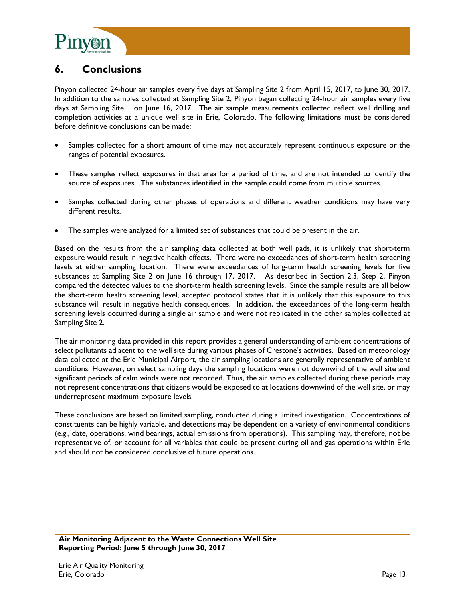

## **6. Conclusions**

Pinyon collected 24-hour air samples every five days at Sampling Site 2 from April 15, 2017, to June 30, 2017. In addition to the samples collected at Sampling Site 2, Pinyon began collecting 24-hour air samples every five days at Sampling Site 1 on June 16, 2017. The air sample measurements collected reflect well drilling and completion activities at a unique well site in Erie, Colorado. The following limitations must be considered before definitive conclusions can be made:

- Samples collected for a short amount of time may not accurately represent continuous exposure or the ranges of potential exposures.
- These samples reflect exposures in that area for a period of time, and are not intended to identify the source of exposures. The substances identified in the sample could come from multiple sources.
- Samples collected during other phases of operations and different weather conditions may have very different results.
- The samples were analyzed for a limited set of substances that could be present in the air.

Based on the results from the air sampling data collected at both well pads, it is unlikely that short-term exposure would result in negative health effects. There were no exceedances of short-term health screening levels at either sampling location. There were exceedances of long-term health screening levels for five substances at Sampling Site 2 on June 16 through 17, 2017. As described in Section 2.3, Step 2, Pinyon compared the detected values to the short-term health screening levels. Since the sample results are all below the short-term health screening level, accepted protocol states that it is unlikely that this exposure to this substance will result in negative health consequences. In addition, the exceedances of the long-term health screening levels occurred during a single air sample and were not replicated in the other samples collected at Sampling Site 2.

The air monitoring data provided in this report provides a general understanding of ambient concentrations of select pollutants adjacent to the well site during various phases of Crestone's activities. Based on meteorology data collected at the Erie Municipal Airport, the air sampling locations are generally representative of ambient conditions. However, on select sampling days the sampling locations were not downwind of the well site and significant periods of calm winds were not recorded. Thus, the air samples collected during these periods may not represent concentrations that citizens would be exposed to at locations downwind of the well site, or may underrepresent maximum exposure levels.

These conclusions are based on limited sampling, conducted during a limited investigation. Concentrations of constituents can be highly variable, and detections may be dependent on a variety of environmental conditions (e.g., date, operations, wind bearings, actual emissions from operations). This sampling may, therefore, not be representative of, or account for all variables that could be present during oil and gas operations within Erie and should not be considered conclusive of future operations.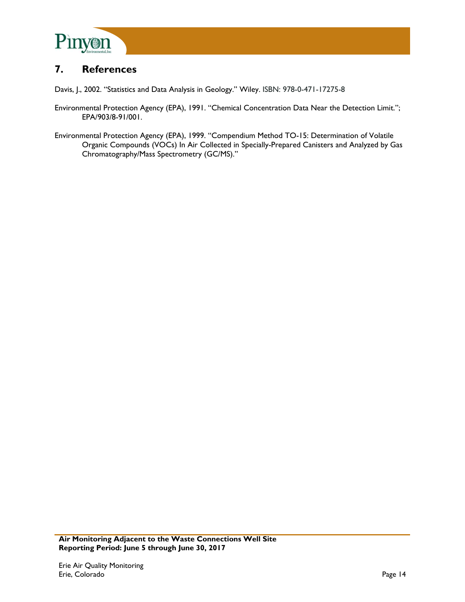

## **7. References**

Davis, J., 2002. "Statistics and Data Analysis in Geology." Wiley. ISBN: 978-0-471-17275-8

- Environmental Protection Agency (EPA), 1991. "Chemical Concentration Data Near the Detection Limit."; EPA/903/8-91/001.
- Environmental Protection Agency (EPA), 1999. "Compendium Method TO-15: Determination of Volatile Organic Compounds (VOCs) In Air Collected in Specially-Prepared Canisters and Analyzed by Gas Chromatography/Mass Spectrometry (GC/MS)."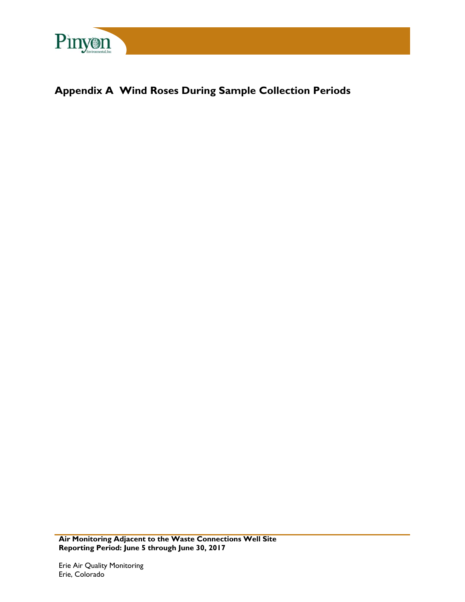

# **Appendix A Wind Roses During Sample Collection Periods**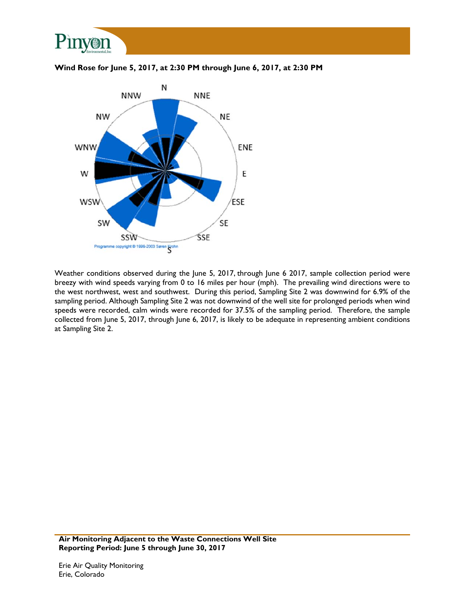



**Wind Rose for June 5, 2017, at 2:30 PM through June 6, 2017, at 2:30 PM** 

Weather conditions observed during the June 5, 2017, through June 6 2017, sample collection period were breezy with wind speeds varying from 0 to 16 miles per hour (mph). The prevailing wind directions were to the west northwest, west and southwest. During this period, Sampling Site 2 was downwind for 6.9% of the sampling period. Although Sampling Site 2 was not downwind of the well site for prolonged periods when wind speeds were recorded, calm winds were recorded for 37.5% of the sampling period. Therefore, the sample collected from June 5, 2017, through June 6, 2017, is likely to be adequate in representing ambient conditions at Sampling Site 2.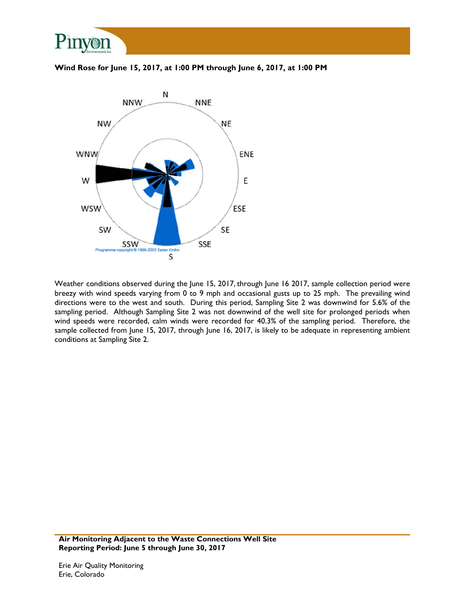

#### **Wind Rose for June 15, 2017, at 1:00 PM through June 6, 2017, at 1:00 PM**



Weather conditions observed during the June 15, 2017, through June 16 2017, sample collection period were breezy with wind speeds varying from 0 to 9 mph and occasional gusts up to 25 mph. The prevailing wind directions were to the west and south. During this period, Sampling Site 2 was downwind for 5.6% of the sampling period. Although Sampling Site 2 was not downwind of the well site for prolonged periods when wind speeds were recorded, calm winds were recorded for 40.3% of the sampling period. Therefore, the sample collected from June 15, 2017, through June 16, 2017, is likely to be adequate in representing ambient conditions at Sampling Site 2.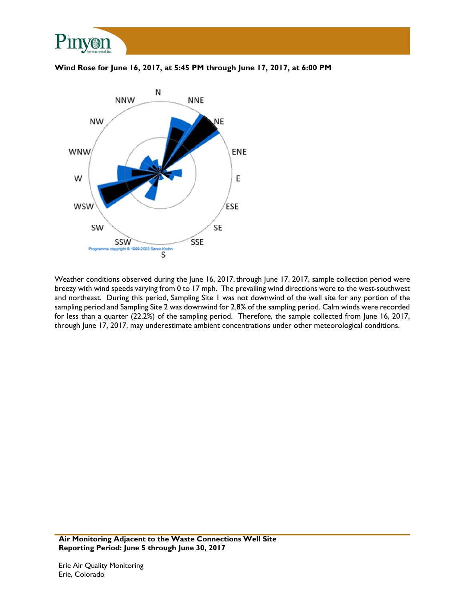

**Wind Rose for June 16, 2017, at 5:45 PM through June 17, 2017, at 6:00 PM** 



Weather conditions observed during the June 16, 2017, through June 17, 2017, sample collection period were breezy with wind speeds varying from 0 to 17 mph. The prevailing wind directions were to the west-southwest and northeast. During this period, Sampling Site 1 was not downwind of the well site for any portion of the sampling period and Sampling Site 2 was downwind for 2.8% of the sampling period. Calm winds were recorded for less than a quarter (22.2%) of the sampling period. Therefore, the sample collected from June 16, 2017, through June 17, 2017, may underestimate ambient concentrations under other meteorological conditions.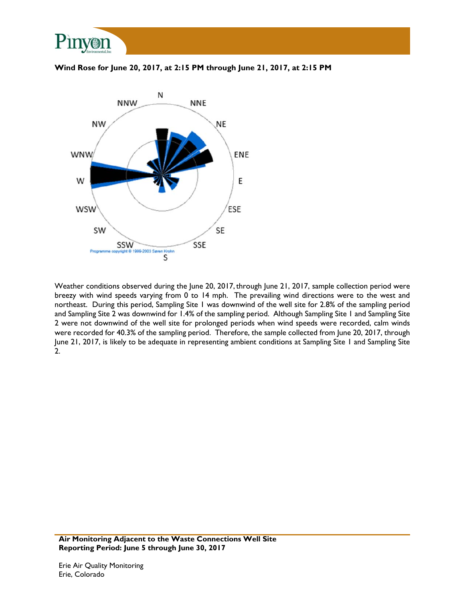

**Wind Rose for June 20, 2017, at 2:15 PM through June 21, 2017, at 2:15 PM** 



Weather conditions observed during the June 20, 2017, through June 21, 2017, sample collection period were breezy with wind speeds varying from 0 to 14 mph. The prevailing wind directions were to the west and northeast. During this period, Sampling Site 1 was downwind of the well site for 2.8% of the sampling period and Sampling Site 2 was downwind for 1.4% of the sampling period. Although Sampling Site 1 and Sampling Site 2 were not downwind of the well site for prolonged periods when wind speeds were recorded, calm winds were recorded for 40.3% of the sampling period. Therefore, the sample collected from June 20, 2017, through June 21, 2017, is likely to be adequate in representing ambient conditions at Sampling Site 1 and Sampling Site 2.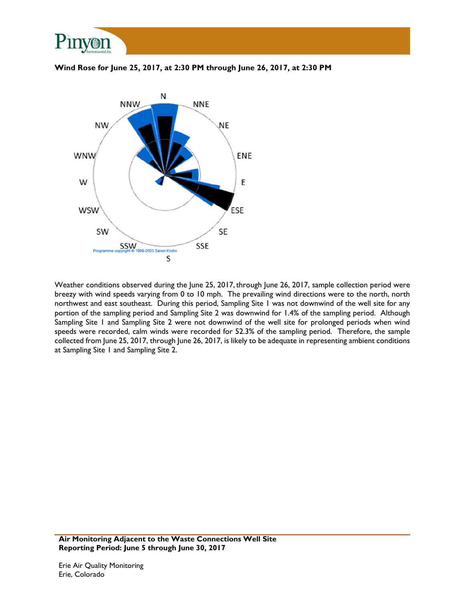

**Wind Rose for June 25, 2017, at 2:30 PM through June 26, 2017, at 2:30 PM** 



Weather conditions observed during the June 25, 2017, through June 26, 2017, sample collection period were breezy with wind speeds varying from 0 to 10 mph. The prevailing wind directions were to the north, north northwest and east southeast. During this period, Sampling Site 1 was not downwind of the well site for any portion of the sampling period and Sampling Site 2 was downwind for 1.4% of the sampling period. Although Sampling Site 1 and Sampling Site 2 were not downwind of the well site for prolonged periods when wind speeds were recorded, calm winds were recorded for 52.3% of the sampling period. Therefore, the sample collected from June 25, 2017, through June 26, 2017, is likely to be adequate in representing ambient conditions at Sampling Site 1 and Sampling Site 2.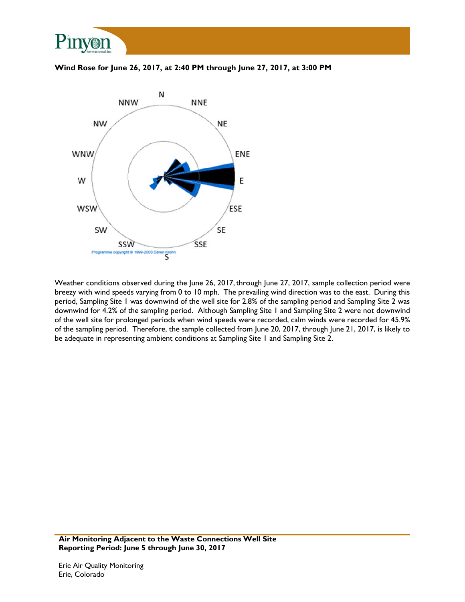

**Wind Rose for June 26, 2017, at 2:40 PM through June 27, 2017, at 3:00 PM** 



Weather conditions observed during the June 26, 2017, through June 27, 2017, sample collection period were breezy with wind speeds varying from 0 to 10 mph. The prevailing wind direction was to the east. During this period, Sampling Site 1 was downwind of the well site for 2.8% of the sampling period and Sampling Site 2 was downwind for 4.2% of the sampling period. Although Sampling Site 1 and Sampling Site 2 were not downwind of the well site for prolonged periods when wind speeds were recorded, calm winds were recorded for 45.9% of the sampling period. Therefore, the sample collected from June 20, 2017, through June 21, 2017, is likely to be adequate in representing ambient conditions at Sampling Site 1 and Sampling Site 2.